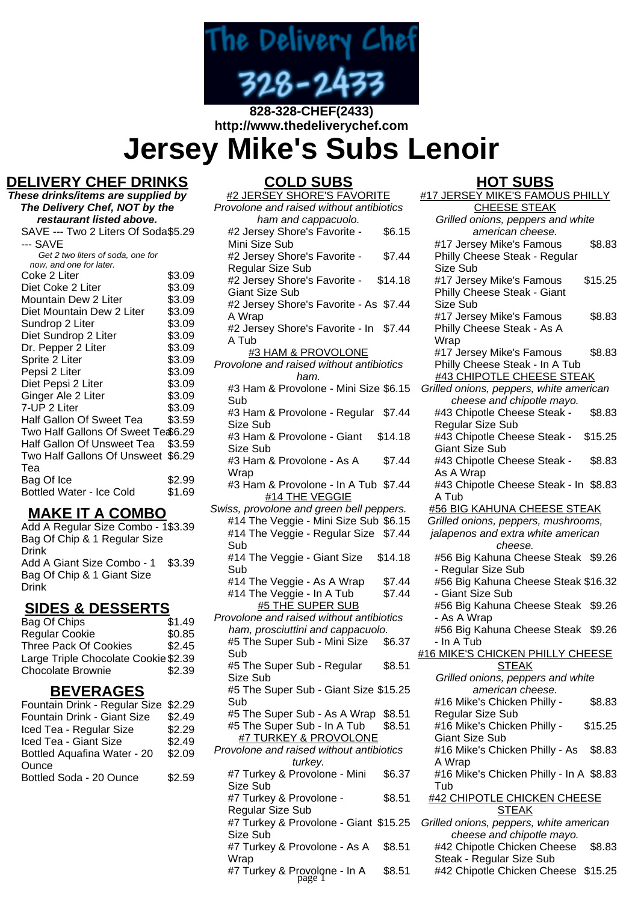

# **http://www.thedeliverychef.com**

**Jersey Mike's Subs Lenoir**

# **DELIVERY CHEF DRINKS**

**These drinks/items are supplied by The Delivery Chef, NOT by the restaurant listed above.** SAVE --- Two 2 Liters Of Soda \$5.29 --- SAVE Get 2 two liters of soda, one for now, and one for later. Coke 2 Liter \$3.09<br>Diet Coke 2 Liter \$3.09 Diet Coke 2 Liter \$3.09<br>Mountain Dew 2 Liter \$3.09 Mountain Dew 2 Liter \$3.09<br>Diet Mountain Dew 2 Liter \$3.09 Diet Mountain Dew 2 Liter \$3.09<br>Sundrop 2 Liter \$3.09 Sundrop 2 Liter Diet Sundrop 2 Liter \$3.09 Dr. Pepper 2 Liter \$3.09 Sprite 2 Liter \$3.09 Pepsi 2 Liter \$3.09 Diet Pepsi 2 Liter \$3.09 Ginger Ale 2 Liter \$3.09 7-UP 2 Liter \$3.09 Half Gallon Of Sweet Tea \$3.59 Two Half Gallons Of Sweet Te \$6.29 Half Gallon Of Unsweet Tea \$3.59 Two Half Gallons Of Unsweet \$6.29 Tea Bag Of Ice \$2.99 Bottled Water - Ice Cold \$1.69

### **MAKE IT A COMBO**

Add A Regular Size Combo - 1 \$3.39 Bag Of Chip & 1 Regular Size Drink Add A Giant Size Combo - 1 \$3.39 Bag Of Chip & 1 Giant Size Drink

# **SIDES & DESSERTS**

| Bag Of Chips                         | \$1.49 |
|--------------------------------------|--------|
| <b>Regular Cookie</b>                | \$0.85 |
| <b>Three Pack Of Cookies</b>         | \$2.45 |
| Large Triple Chocolate Cookie \$2.39 |        |
| <b>Chocolate Brownie</b>             | \$2.39 |

### **BEVERAGES**

| Fountain Drink - Regular Size \$2.29 |        |
|--------------------------------------|--------|
| Fountain Drink - Giant Size          | \$2.49 |
| Iced Tea - Regular Size              | \$2.29 |
| Iced Tea - Giant Size                | \$2.49 |
| Bottled Aquafina Water - 20          | \$2.09 |
| Ounce                                |        |
| Bottled Soda - 20 Ounce              | \$2.59 |
|                                      |        |

# **COLD SUBS**

| <u> COLD SUDS</u>                                               |         |
|-----------------------------------------------------------------|---------|
| <u>#2 JERSEY SHORE'S FAVORITE</u>                               |         |
| Provolone and raised without antibiotics                        |         |
| ham and cappacuolo.                                             |         |
| #2 Jersey Shore's Favorite -                                    | \$6.15  |
| Mini Size Sub                                                   |         |
|                                                                 |         |
| #2 Jersey Shore's Favorite -                                    | \$7.44  |
| <b>Regular Size Sub</b>                                         |         |
| #2 Jersey Shore's Favorite -                                    | \$14.18 |
| <b>Giant Size Sub</b>                                           |         |
| #2 Jersey Shore's Favorite - As \$7.44                          |         |
| A Wrap                                                          |         |
| #2 Jersey Shore's Favorite - In \$7.44                          |         |
|                                                                 |         |
| A Tub                                                           |         |
| <b>#3 HAM &amp; PROVOLONE</b>                                   |         |
| Provolone and raised without antibiotics                        |         |
| ham.                                                            |         |
| #3 Ham & Provolone - Mini Size \$6.15                           |         |
| Sub                                                             |         |
| #3 Ham & Provolone - Regular                                    | \$7.44  |
| Size Sub                                                        |         |
|                                                                 |         |
| #3 Ham & Provolone - Giant                                      | \$14.18 |
| Size Sub                                                        |         |
| #3 Ham & Provolone - As A                                       | \$7.44  |
| Wrap                                                            |         |
| #3 Ham & Provolone - In A Tub \$7.44                            |         |
| #14 THE VEGGIE                                                  |         |
| Swiss, provolone and green bell peppers.                        |         |
| #14 The Veggie - Mini Size Sub \$6.15                           |         |
| #14 The Veggie - Regular Size \$7.44                            |         |
|                                                                 |         |
| Sub                                                             |         |
| #14 The Veggie - Giant Size                                     | \$14.18 |
| Sub                                                             |         |
| #14 The Veggie - As A Wrap                                      | \$7.44  |
| #14 The Veggie - In A Tub                                       | \$7.44  |
| <b>#5 THE SUPER SUB</b>                                         |         |
| Provolone and raised without antibiotics                        |         |
| ham, prosciuttini and cappacuolo.                               |         |
|                                                                 | \$6.37  |
| #5 The Super Sub - Mini Size                                    |         |
| Sub                                                             |         |
| #5 The Super Sub - Regular                                      | \$8.51  |
| Size Sub                                                        |         |
| #5 The Super Sub - Giant Size \$15.25                           |         |
| Sub                                                             |         |
| #5 The Super Sub - As A Wrap \$8.51                             |         |
| #5 The Super Sub - In A Tub                                     | \$8.51  |
| #7 TURKEY & PROVOLONE                                           |         |
| Provolone and raised without antibiotics                        |         |
|                                                                 |         |
| turkey.                                                         |         |
| #7 Turkey & Provolone - Mini                                    | \$6.37  |
| Size Sub                                                        |         |
| #7 Turkey & Provolone -                                         | \$8.51  |
| Regular Size Sub                                                |         |
| #7 Turkey & Provolone - Giant \$15.25                           |         |
| Size Sub                                                        |         |
| #7 Turkey & Provolone - As A \$8.51                             |         |
|                                                                 |         |
| Wrap<br>$\overline{17}$ Turkey Republican LA $\overline{10}$ CA |         |
|                                                                 |         |

#### **HOT SUBS** #17 JERSEY MIKE'S FAMOUS PHILLY

| pvolone and raised without antibiotics |         | <b>CHEESE STEAK</b>                     |         |
|----------------------------------------|---------|-----------------------------------------|---------|
| ham and cappacuolo.                    |         | Grilled onions, peppers and white       |         |
| #2 Jersey Shore's Favorite -           | \$6.15  | american cheese.                        |         |
| Mini Size Sub                          |         | #17 Jersey Mike's Famous                | \$8.83  |
| #2 Jersey Shore's Favorite -           | \$7.44  | Philly Cheese Steak - Regular           |         |
| Regular Size Sub                       |         | Size Sub                                |         |
| #2 Jersey Shore's Favorite -           | \$14.18 | #17 Jersey Mike's Famous                | \$15.25 |
| <b>Giant Size Sub</b>                  |         | Philly Cheese Steak - Giant             |         |
| #2 Jersey Shore's Favorite - As \$7.44 |         | Size Sub                                |         |
|                                        |         |                                         | \$8.83  |
| A Wrap                                 |         | #17 Jersey Mike's Famous                |         |
| #2 Jersey Shore's Favorite - In        | \$7.44  | Philly Cheese Steak - As A              |         |
| A Tub                                  |         | Wrap                                    |         |
| #3 HAM & PROVOLONE                     |         | #17 Jersey Mike's Famous                | \$8.83  |
| pvolone and raised without antibiotics |         | Philly Cheese Steak - In A Tub          |         |
| ham.                                   |         | #43 CHIPOTLE CHEESE STEAK               |         |
| #3 Ham & Provolone - Mini Size \$6.15  |         | Grilled onions, peppers, white american |         |
| Sub                                    |         | cheese and chipotle mayo.               |         |
| #3 Ham & Provolone - Regular           | \$7.44  | #43 Chipotle Cheese Steak -             | \$8.83  |
| Size Sub                               |         | Regular Size Sub                        |         |
| #3 Ham & Provolone - Giant             | \$14.18 | #43 Chipotle Cheese Steak -             | \$15.25 |
| Size Sub                               |         | <b>Giant Size Sub</b>                   |         |
| #3 Ham & Provolone - As A              | \$7.44  | #43 Chipotle Cheese Steak -             | \$8.83  |
| Wrap                                   |         | As A Wrap                               |         |
| #3 Ham & Provolone - In A Tub \$7.44   |         | #43 Chipotle Cheese Steak - In \$8.83   |         |
| #14 THE VEGGIE                         |         | A Tub                                   |         |
| ss, provolone and green bell peppers.  |         | #56 BIG KAHUNA CHEESE STEAK             |         |
| #14 The Veggie - Mini Size Sub \$6.15  |         | Grilled onions, peppers, mushrooms,     |         |
| #14 The Veggie - Regular Size \$7.44   |         | jalapenos and extra white american      |         |
| Sub                                    |         | cheese.                                 |         |
| #14 The Veggie - Giant Size            | \$14.18 | #56 Big Kahuna Cheese Steak \$9.26      |         |
| Sub                                    |         | - Regular Size Sub                      |         |
| #14 The Veggie - As A Wrap             | \$7.44  | #56 Big Kahuna Cheese Steak \$16.32     |         |
| #14 The Veggie - In A Tub              | \$7.44  | - Giant Size Sub                        |         |
| #5 THE SUPER SUB                       |         | #56 Big Kahuna Cheese Steak \$9.26      |         |
| ovolone and raised without antibiotics |         | - As A Wrap                             |         |
| ham, prosciuttini and cappacuolo.      |         | #56 Big Kahuna Cheese Steak \$9.26      |         |
| #5 The Super Sub - Mini Size           | \$6.37  | - In A Tub                              |         |
| Sub                                    |         | <u>#16 MIKE'S CHICKEN PHILLY CHEESE</u> |         |
| #5 The Super Sub - Regular             | \$8.51  | <b>STEAK</b>                            |         |
| Size Sub                               |         | Grilled onions, peppers and white       |         |
| #5 The Super Sub - Giant Size \$15.25  |         | american cheese.                        |         |
| Sub                                    |         | #16 Mike's Chicken Philly -             | \$8.83  |
| #5 The Super Sub - As A Wrap           | \$8.51  | <b>Regular Size Sub</b>                 |         |
|                                        |         |                                         |         |
| #5 The Super Sub - In A Tub            | \$8.51  | #16 Mike's Chicken Philly -             | \$15.25 |
| <u>#7 TURKEY &amp; PROVOLONE</u>       |         | <b>Giant Size Sub</b>                   |         |
| pvolone and raised without antibiotics |         | #16 Mike's Chicken Philly - As          | \$8.83  |
| turkey.                                |         | A Wrap                                  |         |
| #7 Turkey & Provolone - Mini           | \$6.37  | #16 Mike's Chicken Philly - In A \$8.83 |         |
| Size Sub                               |         | Tub                                     |         |
| #7 Turkey & Provolone -                | \$8.51  | <u>#42 CHIPOTLE CHICKEN CHEESE</u>      |         |
| Regular Size Sub                       |         | <u>STEAK</u>                            |         |
| #7 Turkey & Provolone - Giant \$15.25  |         | Grilled onions, peppers, white american |         |
| Size Sub                               |         | cheese and chipotle mayo.               |         |
| #7 Turkey & Provolone - As A           | \$8.51  | #42 Chipotle Chicken Cheese             | \$8.83  |
| Wrap                                   |         | Steak - Regular Size Sub                |         |
| #7 Turkey & Provolone - In A<br>page 1 | \$8.51  | #42 Chipotle Chicken Cheese             | \$15.25 |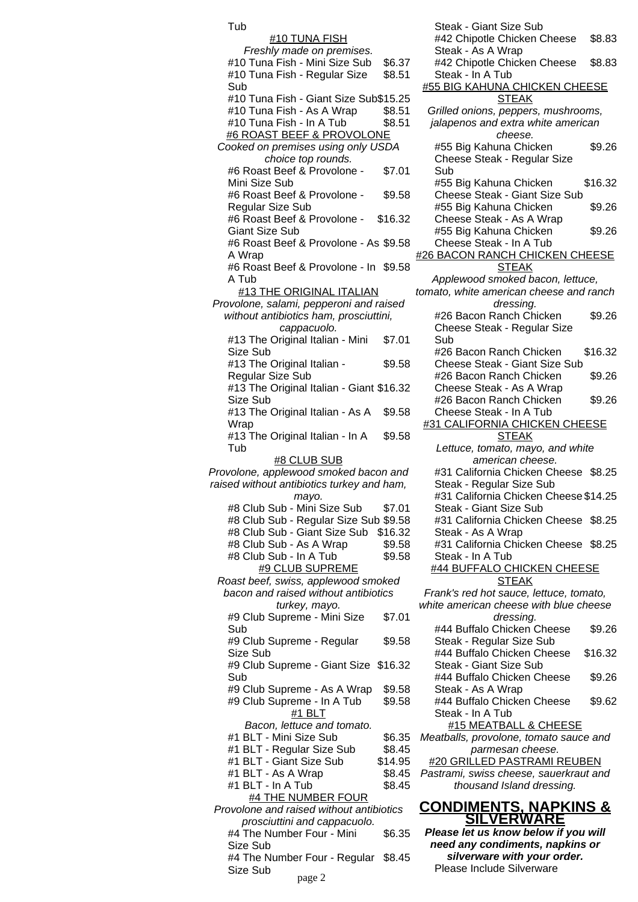Tub #10 TUNA FISH Freshly made on premises. #10 Tuna Fish - Mini Size Sub \$6.37 #10 Tuna Fish - Regular Size Sub \$8.51 #10 Tuna Fish - Giant Size Sub\$15.25  $\#$ 10 Tuna Fish - As A Wrap  $$8.51$  $\#$ 10 Tuna Fish - In A Tub  $$8.51$ #6 ROAST BEEF & PROVOLONE Cooked on premises using only USDA choice top rounds. #6 Roast Beef & Provolone - Mini Size Sub \$7.01 #6 Roast Beef & Provolone - Regular Size Sub \$9.58 #6 Roast Beef & Provolone - Giant Size Sub \$16.32 #6 Roast Beef & Provolone - As \$9.58 A Wrap #6 Roast Beef & Provolone - In \$9.58 A Tub #13 THE ORIGINAL ITALIAN Provolone, salami, pepperoni and raised without antibiotics ham, prosciuttini, cappacuolo. #13 The Original Italian - Mini Size Sub \$7.01 #13 The Original Italian - Regular Size Sub \$9.58 #13 The Original Italian - Giant \$16.32 Size Sub #13 The Original Italian - As A Wrap \$9.58 #13 The Original Italian - In A Tub \$9.58 #8 CLUB SUB Provolone, applewood smoked bacon and raised without antibiotics turkey and ham, mayo. #8 Club Sub - Mini Size Sub \$7.01 #8 Club Sub - Regular Size Sub \$9.58 #8 Club Sub - Giant Size Sub \$16.32 #8 Club Sub - As A Wrap \$9.58 #8 Club Sub - In A Tub \$9.58 #9 CLUB SUPREME Roast beef, swiss, applewood smoked bacon and raised without antibiotics turkey, mayo. #9 Club Supreme - Mini Size Sub \$7.01 #9 Club Supreme - Regular Size Sub \$9.58 #9 Club Supreme - Giant Size \$16.32 Sub #9 Club Supreme - As A Wrap \$9.58 #9 Club Supreme - In A Tub \$9.58 #1 BLT Bacon, lettuce and tomato. #1 BLT - Mini Size Sub \$6.35 #1 BLT - Regular Size Sub \$8.45 #1 BLT - Giant Size Sub \$14.95 #1 BLT - As A Wrap \$8.45  $#1$  BLT - In A Tub  $$8.45$ #4 THE NUMBER FOUR Provolone and raised without antibiotics prosciuttini and cappacuolo. #4 The Number Four - Mini Size Sub \$6.35 #4 The Number Four - Regular \$8.45 Size Sub page 2

Steak - Giant Size Sub #42 Chipotle Chicken Cheese Steak - As A Wrap \$8.83 #42 Chipotle Chicken Cheese Steak - In A Tub \$8.83 **#55 BIG KAHUNA CHICKEN CHEESE** STEAK Grilled onions, peppers, mushrooms, jalapenos and extra white american cheese. #55 Big Kahuna Chicken Cheese Steak - Regular Size Sub \$9.26 #55 Big Kahuna Chicken Cheese Steak - Giant Size Sub \$16.32 #55 Big Kahuna Chicken Cheese Steak - As A Wrap \$9.26 #55 Big Kahuna Chicken Cheese Steak - In A Tub \$9.26 #26 BACON RANCH CHICKEN CHEESE STEAK Applewood smoked bacon, lettuce, tomato, white american cheese and ranch dressing. #26 Bacon Ranch Chicken Cheese Steak - Regular Size Sub \$9.26 #26 Bacon Ranch Chicken Cheese Steak - Giant Size Sub \$16.32 #26 Bacon Ranch Chicken Cheese Steak - As A Wrap \$9.26 #26 Bacon Ranch Chicken Cheese Steak - In A Tub \$9.26 #31 CALIFORNIA CHICKEN CHEESE **STEAK** Lettuce, tomato, mayo, and white american cheese. #31 California Chicken Cheese \$8.25 Steak - Regular Size Sub #31 California Chicken Cheese \$14.25 Steak - Giant Size Sub #31 California Chicken Cheese \$8.25 Steak - As A Wrap #31 California Chicken Cheese \$8.25 Steak - In A Tub #44 BUFFALO CHICKEN CHEESE STEAK Frank's red hot sauce, lettuce, tomato, white american cheese with blue cheese dressing. #44 Buffalo Chicken Cheese Steak - Regular Size Sub \$9.26 #44 Buffalo Chicken Cheese Steak - Giant Size Sub \$16.32 #44 Buffalo Chicken Cheese Steak - As A Wrap \$9.26 #44 Buffalo Chicken Cheese Steak - In A Tub \$9.62 #15 MEATBALL & CHEESE Meatballs, provolone, tomato sauce and parmesan cheese. #20 GRILLED PASTRAMI REUBEN Pastrami, swiss cheese, sauerkraut and thousand Island dressing. **CONDIMENTS, NAPKINS & SILVERWARE**

#### **Please let us know below if you will need any condiments, napkins or silverware with your order.** Please Include Silverware